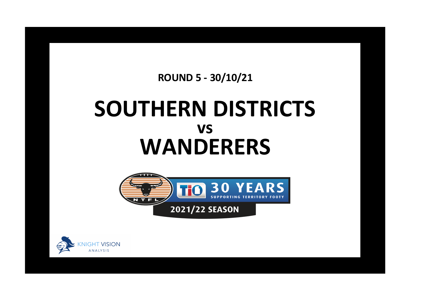**ROUND 5 - 30/10/21**

## **SOUTHERN DISTRICTS WANDERERS vs**



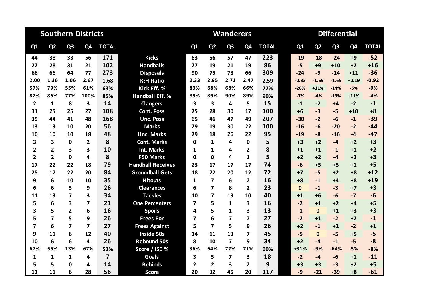| <b>Southern Districts</b> |                |                |              |                |                          |             |                         | <b>Wanderers</b>        |                |              | <b>Differential</b> |              |                |                |                |              |  |
|---------------------------|----------------|----------------|--------------|----------------|--------------------------|-------------|-------------------------|-------------------------|----------------|--------------|---------------------|--------------|----------------|----------------|----------------|--------------|--|
| Q1                        | Q <sub>2</sub> | Q <sub>3</sub> | Q4           | <b>TOTAL</b>   |                          | Q1          | Q <sub>2</sub>          | Q <sub>3</sub>          | Q4             | <b>TOTAL</b> |                     | Q1           | Q <sub>2</sub> | Q <sub>3</sub> | Q <sub>4</sub> | <b>TOTAL</b> |  |
| 44                        | 38             | 33             | 56           | 171            | <b>Kicks</b>             | 63          | 56                      | 57                      | 47             | 223          |                     | $-19$        | $-18$          | $-24$          | $+9$           | $-52$        |  |
| 22                        | 28             | 31             | 21           | 102            | <b>Handballs</b>         | 27          | 19                      | 21                      | 19             | 86           |                     | $-5$         | $+9$           | $+10$          | $+2$           | $+16$        |  |
| 66                        | 66             | 64             | 77           | 273            | <b>Disposals</b>         | 90          | 75                      | 78                      | 66             | 309          |                     | $-24$        | $-9$           | $-14$          | $+11$          | $-36$        |  |
| 2.00                      | 1.36           | 1.06           | 2.67         | 1.68           | <b>K:H Ratio</b>         | 2.33        | 2.95                    | 2.71                    | 2.47           | 2.59         |                     | $-0.33$      | $-1.59$        | $-1.65$        | $+0.19$        | $-0.92$      |  |
| 57%                       | 79%            | 55%            | 61%          | 63%            | Kick Eff. %              | 83%         | 68%                     | 68%                     | 66%            | 72%          |                     | $-26%$       | $+11%$         | $-14%$         | $-5%$          | $-9%$        |  |
| 82%                       | 86%            | 77%            | 100%         | 85%            | <b>Handball Eff. %</b>   | 89%         | 89%                     | 90%                     | 89%            | 90%          |                     | $-7%$        | $-4%$          | $-13%$         | $+11%$         | $-4%$        |  |
| $\overline{\mathbf{2}}$   | $\mathbf{1}$   | 8              | 3            | 14             | <b>Clangers</b>          | 3           | $\overline{\mathbf{3}}$ | 4                       | 5              | 15           |                     | $-1$         | $-2$           | $+4$           | $-2$           | $-1$         |  |
| 31                        | 25             | 25             | 27           | 108            | <b>Cont. Poss</b>        | 25          | 28                      | 30                      | 17             | 100          |                     | $+6$         | $-3$           | $-5$           | $+10$          | $+8$         |  |
| 35                        | 44             | 41             | 48           | 168            | <b>Unc. Poss</b>         | 65          | 46                      | 47                      | 49             | 207          |                     | $-30$        | $-2$           | $-6$           | $-1$           | $-39$        |  |
| 13                        | 13             | 10             | 20           | 56             | <b>Marks</b>             | 29          | 19                      | 30                      | 22             | 100          |                     | $-16$        | $-6$           | $-20$          | $-2$           | $-44$        |  |
| 10                        | 10             | 10             | 18           | 48             | <b>Unc. Marks</b>        | 29          | 18                      | 26                      | 22             | 95           |                     | $-19$        | $-8$           | $-16$          | $-4$           | $-47$        |  |
| 3                         | 3              | $\mathbf 0$    | $\mathbf{2}$ | 8              | <b>Cont. Marks</b>       | $\mathbf 0$ | 1                       | 4                       | 0              | 5            |                     | $+3$         | $+2$           | $-4$           | $+2$           | $+3$         |  |
| $\overline{2}$            | $\overline{2}$ | 3              | 3            | 10             | <b>Int. Marks</b>        | 1           | $\mathbf{1}$            | 4                       | $\overline{2}$ | 8            |                     | $+1$         | $+1$           | $-1$           | $+1$           | $+2$         |  |
| $\overline{2}$            | $\overline{2}$ | $\Omega$       | 4            | 8              | <b>F50 Marks</b>         | $\Omega$    | $\mathbf{0}$            | 4                       | $\mathbf{1}$   | 5            |                     | $+2$         | $+2$           | $-4$           | $+3$           | $+3$         |  |
| 17                        | 22             | 22             | 18           | 79             | <b>Handball Receives</b> | 23          | 17                      | 17                      | 17             | 74           |                     | $-6$         | $+5$           | $+5$           | $+1$           | $+5$         |  |
| 25                        | 17             | 22             | 20           | 84             | <b>Groundball Gets</b>   | 18          | 22                      | 20                      | 12             | 72           |                     | $+7$         | $-5$           | $+2$           | $+8$           | $+12$        |  |
| 9                         | 6              | 10             | 10           | 35             | <b>Hitouts</b>           | 1           | $\overline{7}$          | 6                       | $\overline{2}$ | 16           |                     | $+8$         | $-1$           | $+4$           | $+8$           | $+19$        |  |
| 6                         | 6              | 5              | 9            | 26             | <b>Clearances</b>        | 6           | $\overline{7}$          | 8                       | $\overline{2}$ | 23           |                     | $\mathbf{0}$ | $-1$           | $-3$           | $+7$           | $+3$         |  |
| 11                        | 13             | 7              | 3            | 34             | <b>Tackles</b>           | 10          | $\overline{\mathbf{z}}$ | 13                      | 10             | 40           |                     | $+1$         | $+6$           | $-6$           | $-7$           | $-6$         |  |
| 5                         | 6              | 3              | 7            | 21             | <b>One Percenters</b>    | 7           | 5                       | 1                       | 3              | 16           |                     | $-2$         | $+1$           | $+2$           | $+4$           | $+5$         |  |
| $\overline{\mathbf{3}}$   | 5              | $\overline{2}$ | 6            | 16             | <b>Spoils</b>            | 4           | 5                       | $\mathbf{1}$            | 3              | 13           |                     | $-1$         | $\mathbf{0}$   | $+1$           | $+3$           | $+3$         |  |
| 5                         | $\overline{7}$ | 5              | 9            | 26             | <b>Frees For</b>         | 7           | 6                       | 7                       | 7              | 27           |                     | $-2$         | $+1$           | $-2$           | $+2$           | $-1$         |  |
| $\overline{7}$            | 6              | 7              | 7            | 27             | <b>Frees Against</b>     | 5           | $\overline{7}$          | 5                       | 9              | 26           |                     | $+2$         | $-1$           | $+2$           | $-2$           | $+1$         |  |
| 9                         | 11             | 8              | 12           | 40             | Inside 50s               | 14          | 11                      | 13                      | 7              | 45           |                     | $-5$         | $\Omega$       | $-5$           | $+5$           | $-5$         |  |
| 10                        | 6              | 6              | 4            | 26             | <b>Rebound 50s</b>       | 8           | 10                      | $\overline{\mathbf{z}}$ | 9              | 34           |                     | $+2$         | $-4$           | $-1$           | $-5$           | $-8$         |  |
| 67%                       | 55%            | 13%            | 67%          | 53%            | Score / I50 %            | 36%         | 64%                     | 77%                     | 71%            | 60%          |                     | +31%         | $-9%$          | $-64%$         | $-5%$          | $-8%$        |  |
| 1                         | 1              | 1              | 4            | $\overline{7}$ | <b>Goals</b>             | 3           | 5                       | $\overline{\mathbf{z}}$ | 3              | 18           |                     | $-2$         | -4             | $-6$           | $+1$           | $-11$        |  |
| 5                         | 5              | $\Omega$       | 4            | 14             | <b>Behinds</b>           | 2           | $\mathbf{2}$            | 3                       | $\overline{2}$ | 9            |                     | $+3$         | $+3$           | $-3$           | $+2$           | $+5$         |  |
| 11                        | 11             | 6              | 28           | 56             | <b>Score</b>             | 20          | 32                      | 45                      | 20             | 117          |                     | $-9$         | $-21$          | $-39$          | $+8$           | $-61$        |  |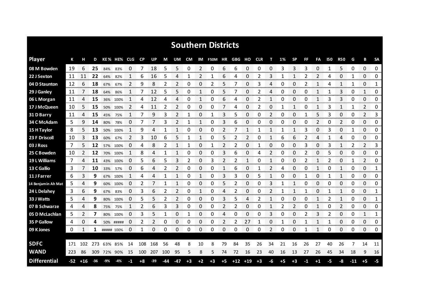|                     |     |       |       |     |             |               |           |           |              |                |      |      | <b>Southern Districts</b> |      |     |              |            |    |      |              |    |              |     |              |       |                |              |
|---------------------|-----|-------|-------|-----|-------------|---------------|-----------|-----------|--------------|----------------|------|------|---------------------------|------|-----|--------------|------------|----|------|--------------|----|--------------|-----|--------------|-------|----------------|--------------|
| <b>Player</b>       | К   |       | D     |     | KE% HE% CLG |               | <b>CP</b> | <b>UP</b> | М            | UM             | CM   |      | IM F50M HR                |      | GBG | но           | <b>CLR</b> | т  | 1%   | <b>SP</b>    | FF | FA           | 150 | <b>R50</b>   | G     | B              | <b>SA</b>    |
| 08 M Bowden         | 19  | 6     | 25    | 84% | 83%         | 0             | 7         | 18        | 5            | 5              | 0    | 2    | 0                         | 6    | 6   | 0            | 0          | 0  | 3    | 3            | 3  | 0            | -1  | 5            | 0     | $\Omega$       | 0            |
| 22 J Sexton         | 11  | 11    | 22    | 64% | 82%         | 1             | 6         | 16        | 5            | 4              | 1    | 2    | 1                         | 6    | 4   | 0            | 2          | 3  | 1    | 1            | 2  | 2            | 4   | 0            | 1     | 0              | 0            |
| 04 D Staunton       | 12  | 6     | 18    | 67% | 67%         | 2             | 9         | 8         | 2            | 2              | 0    | 0    | 2                         | 5    | 7   | 0            | 3          | 4  | 0    | 0            | 2  | 1            | 4   | $\mathbf{1}$ | 1     | 0              | $\mathbf{1}$ |
| 29 J Ganley         | 11  | 7     | 18    | 64% | 86%         | 1             | 7         | 12        | 5            | 5              | 0    | 1    | 0                         | 5    | 7   | 0            | 2          | 4  | 0    | 0            | 0  | 1            | 1   | 3            | 0     | $\mathbf{1}$   | 0            |
| 06 L Morgan         | 11  | 4     | 15    | 36% | 100%        | 1             | 4         | 12        | 4            | 4              | 0    | 1    | 0                         | 6    | 4   | 0            | 2          | 1  | 0    | 0            | 0  | $\mathbf{1}$ | 3   | 3            | 0     | 0              | 0            |
| 17 J McQueen        | 10  | 5     | 15    | 50% | 100%        | 2             | 4         | 11        | 2            | 2              | 0    | 0    | 0                         | 7    | 4   | 0            | 2          | 0  | 1    | 1            | 0  | 1            | 3   | 1            | 1     | 2              | 0            |
| 31 D Barry          | 11  | 4     | 15    | 45% | 75%         | $\mathbf{1}$  | 7         | 9         | 3            | $\overline{2}$ | 1    | 0    | 1                         | 3    | 5   | 0            | 0          | 2  | 0    | 0            | 1  | 5            | 3   | 0            | 0     | 2              | 3            |
| 34 C McAdam         | 5   | 9     | 14    | 80% | 78%         | 0             | 7         | 7         | 3            | 2              | 1    | 1    | 0                         | 3    | 6   | 0            | 0          | 0  | 0    | 0            | 0  | 2            | 0   | 2            | 0     | $\Omega$       | 0            |
| 15 H Taylor         | 8   | 5     | 13    | 50% | 100%        | $\mathbf{1}$  | 9         | 4         | $\mathbf{1}$ | 1              | 0    | 0    | 0                         | 2    | 7   | $\mathbf{1}$ | 1          | 1  | 1    | $\mathbf{1}$ | 3  | 0            | 3   | 0            | 1     | $\Omega$       | 0            |
| 23 F Driscoll       | 10  | 3     | 13    | 60% | 67%         | $\mathcal{P}$ | 3         | 10        | 6            | 5              | 1    | 1    | 0                         | 5    | 2   | 2            | 0          | 1  | 6    | 6            | 2  | 4            | 1   | 4            | 0     | 0              | 0            |
| 03 J Ross           | 7   | 5     | 12    | 57% | 100%        | 0             | 4         | 8         | 2            |                | 1    | 0    | 1                         | 2    | 2   | 0            |            | 0  | 0    | 0            | 3  | 0            | 3   | $\mathbf{1}$ | 2     | $\overline{2}$ | 3            |
| 25 C Bowden         | 10  |       | 12    | 70% | 100%        | 1             | 8         | 4         | 1            | 1              | 0    | 0    | 0                         | 3    | 6   | 0            | 4          | 2  | 0    | 0            | 2  | 0            | 5   | 0            | 0     | 0              | 0            |
| 19 L Williams       | 7   | 4     | 11    |     | 43% 100%    | 0             | 5         | 6         | 5            | 3              | 2    | 0    | 3                         | 2    | 2   | 1            | 0          |    | 0    | 0            | 2  | 1            | 2   | 0            |       | 2              | 0            |
| 13 C Gallio         | 3   | 7     | 10    | 33% | 57%         | 0             | 6         | 4         | 2            | 2              | 0    | 0    | 0                         | 1    | 6   | 0            |            | 2  | 4    | 0            | 0  | 1            | 0   | $\mathbf{1}$ | 0     | 0              | 1            |
| 11 J Farrer         | 6   | 3     | 9     |     | 67% 100%    |               | 4         | 4         |              |                | 0    |      | 0                         | 3    | 3   | 0            | 5          |    | O    | 0            |    | O            |     |              | 0     | 0              | 0            |
| 14 Benjamin Ah Mat  | 5   | 4     | 9     | 60% | 100%        | O             | 2         |           |              |                | 0    | 0    | 0                         | 5    | 2   | 0            | 0          | 3  |      |              | O  | O            | O   | 0            | 0     | 0              | 0<br>annanna |
| 24 L Delahey        | 3   | 6     | 9     | 67% | 83%         | 0             | 3         | 6         | 2            | 2              | 0    |      | 0                         | 4    | 2   | 0            | 0          | 2  |      |              |    | 0            |     | 1            | 0     | 0              | 1            |
| 33 J Watts          | 5.  | 4     | 9     | 80% | 100%        | 0             | 5         | 5         | 2            | 2              | 0    | 0    | 0                         | 3    | 5   | 4            | 2          |    | O    | 0            | O  |              | 2   | 1            | 0     | 0              | 1            |
| 07 B Schwarze       | 4   | 4     | 8     | 75% | 75%         |               | 2         | 6         | 3            | 3              | 0    | 0    | 0                         | 2    | 2   | 0            | 0          |    | 2    | 2            | 0  | 1            | 0   | 2            | 0     | 0              | 0            |
| 05 D McLachlan      | 5.  | 2     | 7     | 80% | 100%        | 0             | 3         | 5         | 1            | 0              | 1    | 0    | 0                         | 4    | 0   | 0            | 0          | 3  | 0    | 0            | 2  | 3            | 2   | 0            | 0     | 1              | 1            |
| 35 P Gallow         | 4   | 0     | 4     |     | 50% #####   | 0             | 2         | 2         | 0            | 0              | 0    | 0    | 0                         | 2    | 2   | 27           |            | 0  |      | 0            |    | 1            | 1   | 0            | 0     | 0              | 0            |
| 09 K Jones          | 0   | 1     | 1     |     | ##### 100%  | 0             | 1         | 0         | 0            | 0              | 0    | 0    | 0                         | 0    | 0   | 0            | 0          | 2  | 0    | 0            | 1  | 1            | 0   | 0            | 0     | 0              | 0            |
|                     |     |       |       |     |             |               |           |           |              |                |      |      |                           |      |     |              |            |    |      |              |    |              |     |              |       |                |              |
| <b>SDFC</b>         | 171 | 102   | 273   | 63% | 85%         | 14            | 108       | 168       | 56           | 48             | 8    | 10   | 8                         | 79   | 84  | 35           | 26         | 34 | 21   | 16           | 26 | 27           | 40  | 26           | 7     | 14             | 11           |
| <b>WAND</b>         | 223 | 86    | 309   |     | 72% 90%     | -15           | 100       | 207       | 100          | 95             | 5    | 8    | 5                         | 74   | 72  | 16           | 23         | 40 | 16   | 13           | 27 | 26           | 45  | 34           | 18    | 9              | 16           |
| <b>Differential</b> | -52 | $+16$ | $-36$ | -9% | -4%         | -1            | +8        | $-39$     | -44          | -47            | $+3$ | $+2$ | $+3$                      | $+5$ |     | $+12$ +19    | $+3$       | -6 | $+5$ | $+3$         | -1 | $+1$         | -5  | -8           | $-11$ | $+5$           |              |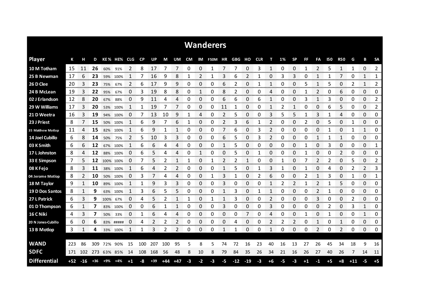|                     |       |                |       |             |           |      |              |           |       |       |           |                     | <b>Wanderers</b> |                |            |           |            |              |    |           |                |              |            |              |               |            |                       |
|---------------------|-------|----------------|-------|-------------|-----------|------|--------------|-----------|-------|-------|-----------|---------------------|------------------|----------------|------------|-----------|------------|--------------|----|-----------|----------------|--------------|------------|--------------|---------------|------------|-----------------------|
| <b>Player</b>       | К     | н              | D     |             | KE% HE%   | CLG  | <b>CP</b>    | <b>UP</b> | М     | UM.   | <b>CM</b> | IM                  | <b>F50M</b>      | ΗR             | <b>GBG</b> | но        | <b>CLR</b> | т            | 1% | <b>SP</b> | FF             | FA           | <b>150</b> | <b>R50</b>   | G             | B          | <b>SA</b>             |
| 10 M Totham         | -15   | 11             | 26    | 60%         | 91%       | 2    | 8            | 17        | 7     | 7     | 0         | 0                   | 1                | 7              | 7          | 0         | 3          | $\mathbf{1}$ | 0  | 0         | $\mathbf{1}$   | 2            | 5          | $\mathbf{1}$ | 1             | 0          | 2                     |
| 25 B Newman         | 17    | 6              | 23    | 59%         | 100%      | 1    |              | 16        | 9     | 8     |           | 2                   | 1                | 3              | 6          | 2         | 1          | 0            | 3  | 3         | 0              |              |            | 7            | 0             | 1          | 1                     |
| 26 D Clee           | 20    | 3              | 23    | 75%         | 67%       | 2    | 6            | 17        | 9     | 9     | 0         | 0                   | 0                | 6              | 2          | 0         | 1          | 1            | 0  | 0         | 5              | 1            | 5          | 0            | 2             | 1          | 2                     |
| 24 B McLean         | 19    | 3              | 22    | 95%         | 67%       | 0    | 3            | 19        | 8     | 8     | 0         | 1                   | 0                | 8              | 2          | 0         | 0          | 4            | 0  | 0         | 1              | 2            | 0          | 6            | 0             | 0          | 0                     |
| 02 J Erlandson      | 12    | 8              | 20    | 67%         | 88%       | 0    | 9            | 11        | 4     | 4     | 0         | 0                   | 0                | 6              | 6          | 0         | 6          | 1            | 0  | 0         | 3              | 1            | 3          | 0            | 0             | 0          | 2                     |
| 29 W Williams       | 17    | 3              | 20    | 53%         | 100%      | 1    | 1            | 19        | 7     |       | 0         | 0                   | 0                | 11             | 1          | 0         | 0          | 1            | 2  | 1         | 0              | 0            | 6          | 5            | 0             | 0          | 2                     |
| 21 D Weetra         | 16    | 3              | 19    | 94%         | 100%      | 0    | 7            | 13        | 10    | 9     | 1         | 4                   | 0                | 2              | 5          | 0         | 0          | 3            | 5  | 5         |                | 3            |            | 4            | 0             | 0          | 0                     |
| 23 J Priest         | 8     | $\overline{7}$ | 15    | 50%         | 100%      | 1    | 6            | 9         | 7     | 6     | 1         | 0                   | 0                | $\overline{2}$ | 3          | 6         | 1          | 2            | 0  | 0         | $\overline{2}$ | 0            | 5          | 0            | 1             | 0          | 0                     |
| 35 Matthew Motlop   | 11    | 4              | 15    | 82%         | 100%      | 1    | 6            | 9         | 1     | 1     | 0         | 0                   | 0                | 7              | 6          | 0         | 3          | 2            | 0  | 0         | 0              | 0            | 1          | 0            | 1             | 1          | 0                     |
| 14 Joel Cubillo     | 6     | 8              | 14    | 50%         | 75%       | 2    | 5            | 10        | 3     | 3     | 0         | 0                   | 0                | 6              | 5          | 0         | 3          | 2            | 0  | 0         | 0              | $\mathbf{1}$ |            | $\mathbf{1}$ | 0             | 0          | 0                     |
| 03 K Smith          | 6     | 6              | 12    | 67%         | 100%      |      | 6            | 6         | 4     | 4     | 0         | 0                   | 0                | 1              | 5          | 0         | 0          | 0            | 0  | 0         | 1              | 0            | 3          | 0            | 0             | 0          | 1                     |
| 17 L Johnston       | 8     | 4              | 12    | 88%         | 100%      | 0    | 6            | 5         | 4     | 4     | 0         | 1                   | 0                | 0              | 5          | 0         |            | 0            | 0  | 0         | 1              | 0            | 0          | 2            | 0             | 0          | 0                     |
| 33 E Simpson        | 7     | 5              | 12    |             | 100% 100% | 0    | 7            | 5         | 2     | 1     | 1         | 0                   | 1                | 2              | 2          | 1         | 0          | 0            |    | 0         | 7              | 2            | 2          | 0            | 5             | 0          | 2                     |
| 08 K Fejo           | 8     | 3              | 11    |             | 38% 100%  |      | 6            | 4         | 2     | 2     | 0         | 0                   | 0                | 1              | 5          | 0         |            | 3            |    | 0         |                | 0            | 4          | $\Omega$     | $\mathcal{P}$ | 2          | 3                     |
| 04 Jerome Motlop    | 8     | 2              | 10    | 50%         | 100%      | O    | 3            | 7         | 4     | 4     | 0         | 0                   | 1                | 3              | 1          | 0         | 2          | 6            | 0  | 0         | 2              | 1            | 3          | 0            | 1             | 0          | 1                     |
| 18 M Taylor         | 9     | 1              | 10    |             | 89% 100%  |      | 1            | 9         | 3     | 3     | 0         | 0                   | 0                | 3              | 0          | 0         | 0          |              | 2  | 2         | $\mathbf{1}$   | 2            |            | 5            | 0             | 0          | 0                     |
| 19 D Dos Santos     | 8     | 1              | 9     | 63%         | 100%      | 1    | 3            | 6         | 5     | 5     | 0         | 0                   | 0                | 1              | 3          | 0         | 1          | 1            | 0  | 0         | 0              | 2            | 1          | 0            | 0             | 0          | 0                     |
| 27 L Patrick        | 6     | 3              | 9     | 100%        | 67%       | 0    | 4            | 5         | 2     |       | 1         | 0                   | 1                | 1              | 3          | 0         | 0          | 2            | 0  | 0         | 0              | 3            | 0          | 0            | 2             | 0          | 0                     |
| 01 D Thompson       | 6     | 1              | 7     | 83%         | 100%      | 0    | 0            | 6         | 1     | 1     | 0         | 0                   | 0                | 3              | 0          | 0         | 0          | 3            | 0  | 0         | 0              | 0            | 2          | 0            | 3             | 1          | 0                     |
| 16 C Niki           | 4     | 3<br>an an     | 7     | 50%         | 33%       | 0    | 1<br>n mener | 6         | 4     | Δ     | 0         | 0<br><b>Service</b> | 0                | 0              | 0          | 7<br>mmm. | 0          | 4            | ŋ  | 0         | 1              | 0<br>ana a   |            | 0<br>oma e   | 0             | 1<br>mana. | 0<br><b>CONTRACTO</b> |
| 20 N Jones Cubillo  | 6     | 0              | 6     | 83%         | #####     | 0    | 4            | 2         | 2     | 2     | 0         | 0                   | 0                | 0              | 4          | 0         | 0          | 2            | 2  | 2         | 0              | 1            | 0          | 1            | 0             | 0          | 0                     |
| 13 B Motlop         | 3     | 1              | 4     |             | 33% 100%  | 1    | 1            | 3         | 2     | 2     | 0         | 0                   | 0                | 1              | 1          | 0         | 0          | 1            | 0  | 0         | 0              | 2            | 0          | 2            | 0             | 0          | 0                     |
|                     |       |                |       |             |           |      |              |           |       |       |           |                     |                  |                |            |           |            |              |    |           |                |              |            |              |               |            |                       |
| <b>WAND</b>         | -223  | 86             | 309   | 72%         | 90%       | 15   | 100          | 207       | 100   | 95    | 5         | 8                   | 5                | 74             | 72         | 16        | 23         | 40           | 16 | 13        | 27             | 26           | 45         | 34           | 18            | 9          | 16                    |
| <b>SDFC</b>         | 171   | 102            |       | 273 63% 85% |           | 14   | 108          | 168       | 56    | 48    | 8         | 10                  | 8                | 79             | 84         | 35        | 26         | 34           | 21 | 16        | 26             | 27           | 40         | 26           | 7             | 14         | 11                    |
| <b>Differential</b> | $+52$ | $-16$          | $+36$ | +9%         | $+4%$     | $+1$ | -8           | $+39$     | $+44$ | $+47$ | -3        | $-2$                | -3               | -5             | $-12$      | $-19$     | -3         | $+6$         | -5 | -3        | $+1$           | -1           | $+5$       | $+8$         | $+11$         | $-5$       | $+5$                  |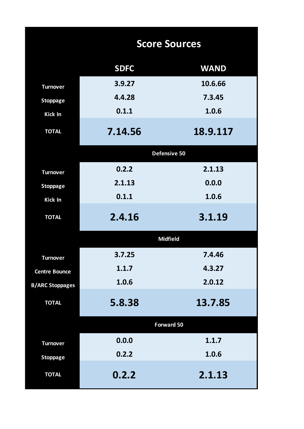|                        |             | <b>Score Sources</b> |
|------------------------|-------------|----------------------|
|                        | <b>SDFC</b> | <b>WAND</b>          |
| <b>Turnover</b>        | 3.9.27      | 10.6.66              |
| <b>Stoppage</b>        | 4.4.28      | 7.3.45               |
| Kick In                | 0.1.1       | 1.0.6                |
| <b>TOTAL</b>           | 7.14.56     | 18.9.117             |
|                        |             | Defensive 50         |
| <b>Turnover</b>        | 0.2.2       | 2.1.13               |
| <b>Stoppage</b>        | 2.1.13      | 0.0.0                |
| Kick In                | 0.1.1       | 1.0.6                |
| <b>TOTAL</b>           | 2.4.16      | 3.1.19               |
|                        |             | <b>Midfield</b>      |
| <b>Turnover</b>        | 3.7.25      | 7.4.46               |
| <b>Centre Bounce</b>   | 1.1.7       | 4.3.27               |
| <b>B/ARC Stoppages</b> | 1.0.6       | 2.0.12               |
| <b>TOTAL</b>           | 5.8.38      | 13.7.85              |
|                        |             | <b>Forward 50</b>    |
| <b>Turnover</b>        | 0.0.0       | 1.1.7                |
| <b>Stoppage</b>        | 0.2.2       | 1.0.6                |
| <b>TOTAL</b>           | 0.2.2       | 2.1.13               |